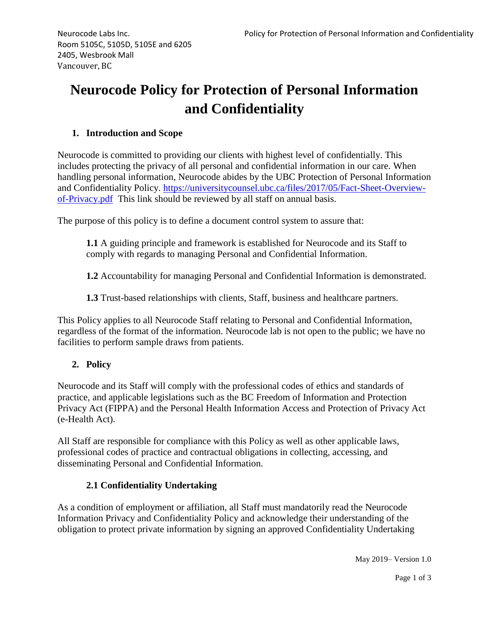# **Neurocode Policy for Protection of Personal Information and Confidentiality**

# **1. Introduction and Scope**

Neurocode is committed to providing our clients with highest level of confidentially. This includes protecting the privacy of all personal and confidential information in our care. When handling personal information, Neurocode abides by the UBC Protection of Personal Information and Confidentiality Policy. [https://universitycounsel.ubc.ca/files/2017/05/Fact-Sheet-Overview](https://universitycounsel.ubc.ca/files/2017/05/Fact-Sheet-Overview-of-Privacy.pdf)[of-Privacy.pdf](https://universitycounsel.ubc.ca/files/2017/05/Fact-Sheet-Overview-of-Privacy.pdf) This link should be reviewed by all staff on annual basis.

The purpose of this policy is to define a document control system to assure that:

**1.1** A guiding principle and framework is established for Neurocode and its Staff to comply with regards to managing Personal and Confidential Information.

**1.2** Accountability for managing Personal and Confidential Information is demonstrated.

**1.3** Trust-based relationships with clients, Staff, business and healthcare partners.

This Policy applies to all Neurocode Staff relating to Personal and Confidential Information, regardless of the format of the information. Neurocode lab is not open to the public; we have no facilities to perform sample draws from patients.

## **2. Policy**

Neurocode and its Staff will comply with the professional codes of ethics and standards of practice, and applicable legislations such as the BC Freedom of Information and Protection Privacy Act (FIPPA) and the Personal Health Information Access and Protection of Privacy Act (e-Health Act).

All Staff are responsible for compliance with this Policy as well as other applicable laws, professional codes of practice and contractual obligations in collecting, accessing, and disseminating Personal and Confidential Information.

## **2.1 Confidentiality Undertaking**

As a condition of employment or affiliation, all Staff must mandatorily read the Neurocode Information Privacy and Confidentiality Policy and acknowledge their understanding of the obligation to protect private information by signing an approved Confidentiality Undertaking

May 2019– Version 1.0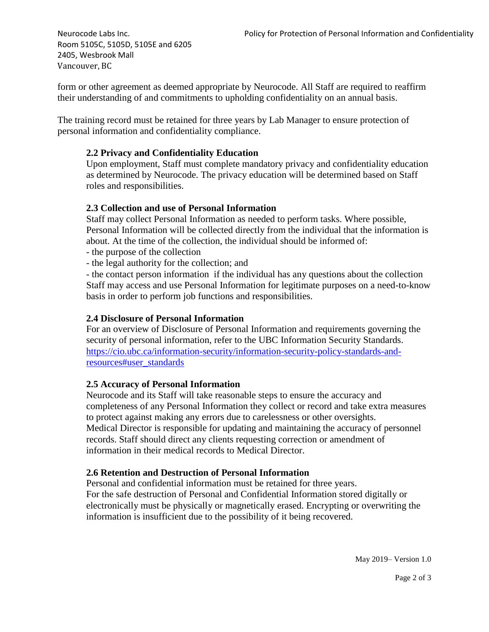Room 5105C, 5105D, 5105E and 6205 2405, Wesbrook Mall Vancouver, BC

form or other agreement as deemed appropriate by Neurocode. All Staff are required to reaffirm their understanding of and commitments to upholding confidentiality on an annual basis.

The training record must be retained for three years by Lab Manager to ensure protection of personal information and confidentiality compliance.

### **2.2 Privacy and Confidentiality Education**

Upon employment, Staff must complete mandatory privacy and confidentiality education as determined by Neurocode. The privacy education will be determined based on Staff roles and responsibilities.

#### **2.3 Collection and use of Personal Information**

Staff may collect Personal Information as needed to perform tasks. Where possible, Personal Information will be collected directly from the individual that the information is about. At the time of the collection, the individual should be informed of:

- the purpose of the collection
- the legal authority for the collection; and

- the contact person information if the individual has any questions about the collection Staff may access and use Personal Information for legitimate purposes on a need-to-know basis in order to perform job functions and responsibilities.

#### **2.4 Disclosure of Personal Information**

For an overview of Disclosure of Personal Information and requirements governing the security of personal information, refer to the UBC Information Security Standards. [https://cio.ubc.ca/information-security/information-security-policy-standards-and](https://cio.ubc.ca/information-security/information-security-policy-standards-and-resources#user_standards)[resources#user\\_standards](https://cio.ubc.ca/information-security/information-security-policy-standards-and-resources#user_standards)

#### **2.5 Accuracy of Personal Information**

Neurocode and its Staff will take reasonable steps to ensure the accuracy and completeness of any Personal Information they collect or record and take extra measures to protect against making any errors due to carelessness or other oversights. Medical Director is responsible for updating and maintaining the accuracy of personnel records. Staff should direct any clients requesting correction or amendment of information in their medical records to Medical Director.

#### **2.6 Retention and Destruction of Personal Information**

Personal and confidential information must be retained for three years. For the safe destruction of Personal and Confidential Information stored digitally or electronically must be physically or magnetically erased. Encrypting or overwriting the information is insufficient due to the possibility of it being recovered.